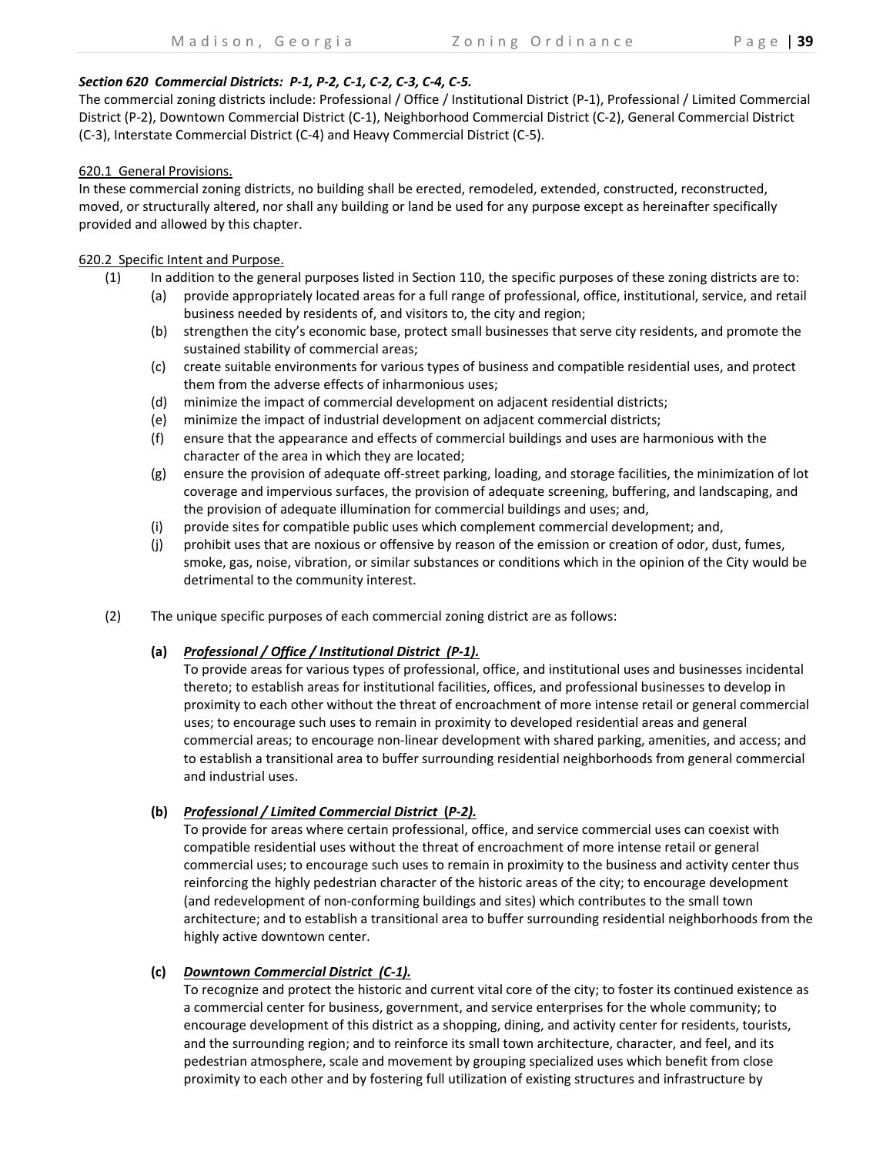#### *Section 620 Commercial Districts: P‐1, P‐2, C‐1, C‐2, C‐3, C‐4, C‐5.*

The commercial zoning districts include: Professional / Office / Institutional District (P‐1), Professional / Limited Commercial District (P‐2), Downtown Commercial District (C‐1), Neighborhood Commercial District (C‐2), General Commercial District (C‐3), Interstate Commercial District (C‐4) and Heavy Commercial District (C‐5).

#### 620.1 General Provisions.

In these commercial zoning districts, no building shall be erected, remodeled, extended, constructed, reconstructed, moved, or structurally altered, nor shall any building or land be used for any purpose except as hereinafter specifically provided and allowed by this chapter.

### 620.2 Specific Intent and Purpose.

- (1) In addition to the general purposes listed in Section 110, the specific purposes of these zoning districts are to:
	- (a) provide appropriately located areas for a full range of professional, office, institutional, service, and retail business needed by residents of, and visitors to, the city and region;
	- (b) strengthen the city's economic base, protect small businesses that serve city residents, and promote the sustained stability of commercial areas;
	- (c) create suitable environments for various types of business and compatible residential uses, and protect them from the adverse effects of inharmonious uses;
	- (d) minimize the impact of commercial development on adjacent residential districts;
	- (e) minimize the impact of industrial development on adjacent commercial districts;
	- (f) ensure that the appearance and effects of commercial buildings and uses are harmonious with the character of the area in which they are located;
	- (g) ensure the provision of adequate off‐street parking, loading, and storage facilities, the minimization of lot coverage and impervious surfaces, the provision of adequate screening, buffering, and landscaping, and the provision of adequate illumination for commercial buildings and uses; and,
	- (i) provide sites for compatible public uses which complement commercial development; and,
	- (j) prohibit uses that are noxious or offensive by reason of the emission or creation of odor, dust, fumes, smoke, gas, noise, vibration, or similar substances or conditions which in the opinion of the City would be detrimental to the community interest.
- (2) The unique specific purposes of each commercial zoning district are as follows:

# **(a)**  *Professional / Office / Institutional District (P‐1).*

 To provide areas for various types of professional, office, and institutional uses and businesses incidental thereto; to establish areas for institutional facilities, offices, and professional businesses to develop in proximity to each other without the threat of encroachment of more intense retail or general commercial uses; to encourage such uses to remain in proximity to developed residential areas and general commercial areas; to encourage non‐linear development with shared parking, amenities, and access; and to establish a transitional area to buffer surrounding residential neighborhoods from general commercial and industrial uses.

**(b)**  *Professional / Limited Commercial District* **(***P‐2).*

 To provide for areas where certain professional, office, and service commercial uses can coexist with compatible residential uses without the threat of encroachment of more intense retail or general commercial uses; to encourage such uses to remain in proximity to the business and activity center thus reinforcing the highly pedestrian character of the historic areas of the city; to encourage development (and redevelopment of non‐conforming buildings and sites) which contributes to the small town architecture; and to establish a transitional area to buffer surrounding residential neighborhoods from the highly active downtown center.

# **(c)**  *Downtown Commercial District (C‐1).*

 To recognize and protect the historic and current vital core of the city; to foster its continued existence as a commercial center for business, government, and service enterprises for the whole community; to encourage development of this district as a shopping, dining, and activity center for residents, tourists, and the surrounding region; and to reinforce its small town architecture, character, and feel, and its pedestrian atmosphere, scale and movement by grouping specialized uses which benefit from close proximity to each other and by fostering full utilization of existing structures and infrastructure by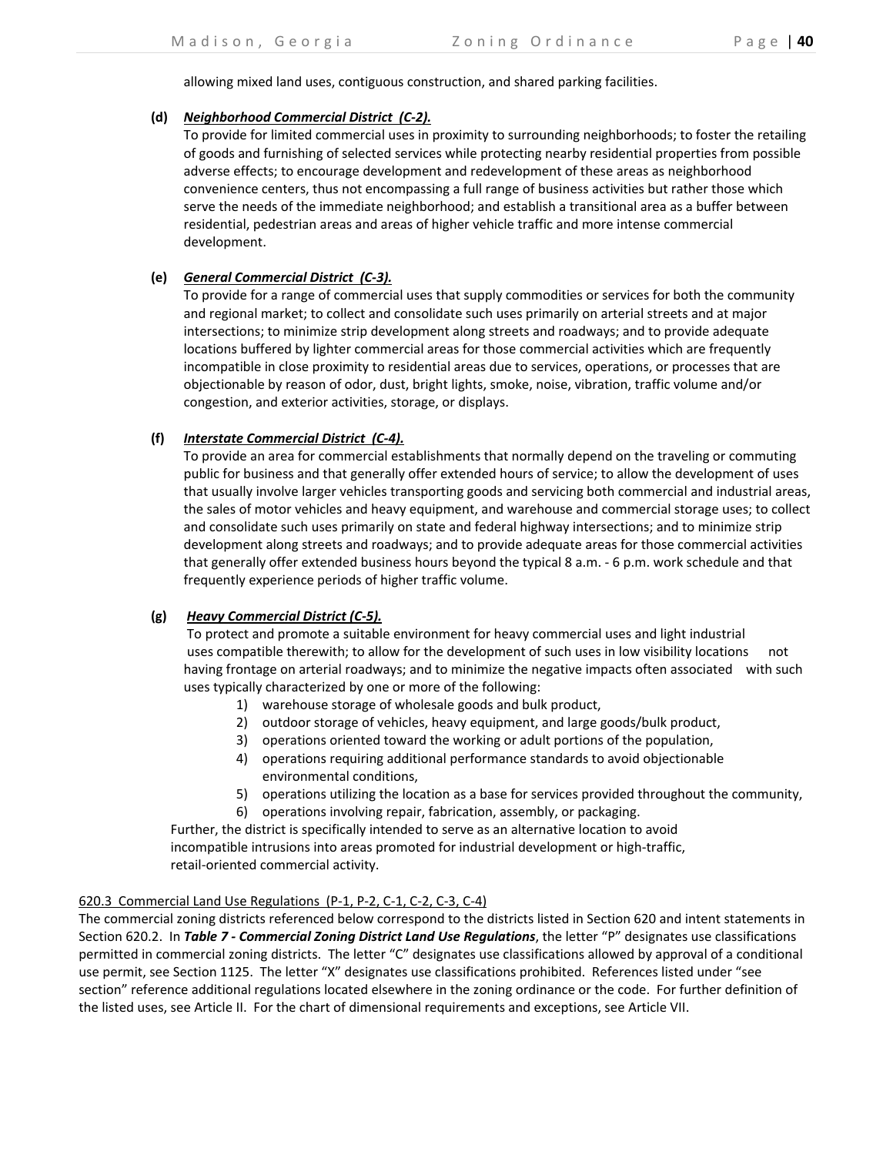allowing mixed land uses, contiguous construction, and shared parking facilities.

### **(d)**  *Neighborhood Commercial District (C‐2).*

 To provide for limited commercial uses in proximity to surrounding neighborhoods; to foster the retailing of goods and furnishing of selected services while protecting nearby residential properties from possible adverse effects; to encourage development and redevelopment of these areas as neighborhood convenience centers, thus not encompassing a full range of business activities but rather those which serve the needs of the immediate neighborhood; and establish a transitional area as a buffer between residential, pedestrian areas and areas of higher vehicle traffic and more intense commercial development.

# **(e)**  *General Commercial District (C‐3).*

 To provide for a range of commercial uses that supply commodities or services for both the community and regional market; to collect and consolidate such uses primarily on arterial streets and at major intersections; to minimize strip development along streets and roadways; and to provide adequate locations buffered by lighter commercial areas for those commercial activities which are frequently incompatible in close proximity to residential areas due to services, operations, or processes that are objectionable by reason of odor, dust, bright lights, smoke, noise, vibration, traffic volume and/or congestion, and exterior activities, storage, or displays.

# **(f)**  *Interstate Commercial District (C‐4).*

 To provide an area for commercial establishments that normally depend on the traveling or commuting public for business and that generally offer extended hours of service; to allow the development of uses that usually involve larger vehicles transporting goods and servicing both commercial and industrial areas, the sales of motor vehicles and heavy equipment, and warehouse and commercial storage uses; to collect and consolidate such uses primarily on state and federal highway intersections; and to minimize strip development along streets and roadways; and to provide adequate areas for those commercial activities that generally offer extended business hours beyond the typical 8 a.m. ‐ 6 p.m. work schedule and that frequently experience periods of higher traffic volume.

# **(g)** *Heavy Commercial District (C‐5).*

 To protect and promote a suitable environment for heavy commercial uses and light industrial uses compatible therewith; to allow for the development of such uses in low visibility locations not having frontage on arterial roadways; and to minimize the negative impacts often associated with such uses typically characterized by one or more of the following:

- 1) warehouse storage of wholesale goods and bulk product,
- 2) outdoor storage of vehicles, heavy equipment, and large goods/bulk product,
- 3) operations oriented toward the working or adult portions of the population,
- 4) operations requiring additional performance standards to avoid objectionable environmental conditions,
- 5) operations utilizing the location as a base for services provided throughout the community,
- 6) operations involving repair, fabrication, assembly, or packaging.

 Further, the district is specifically intended to serve as an alternative location to avoid incompatible intrusions into areas promoted for industrial development or high-traffic, retail‐oriented commercial activity.

# 620.3 Commercial Land Use Regulations (P‐1, P‐2, C‐1, C‐2, C‐3, C‐4)

The commercial zoning districts referenced below correspond to the districts listed in Section 620 and intent statements in Section 620.2. In *Table 7 ‐ Commercial Zoning District Land Use Regulations*, the letter "P" designates use classifications permitted in commercial zoning districts. The letter "C" designates use classifications allowed by approval of a conditional use permit, see Section 1125. The letter "X" designates use classifications prohibited. References listed under "see section" reference additional regulations located elsewhere in the zoning ordinance or the code. For further definition of the listed uses, see Article II. For the chart of dimensional requirements and exceptions, see Article VII.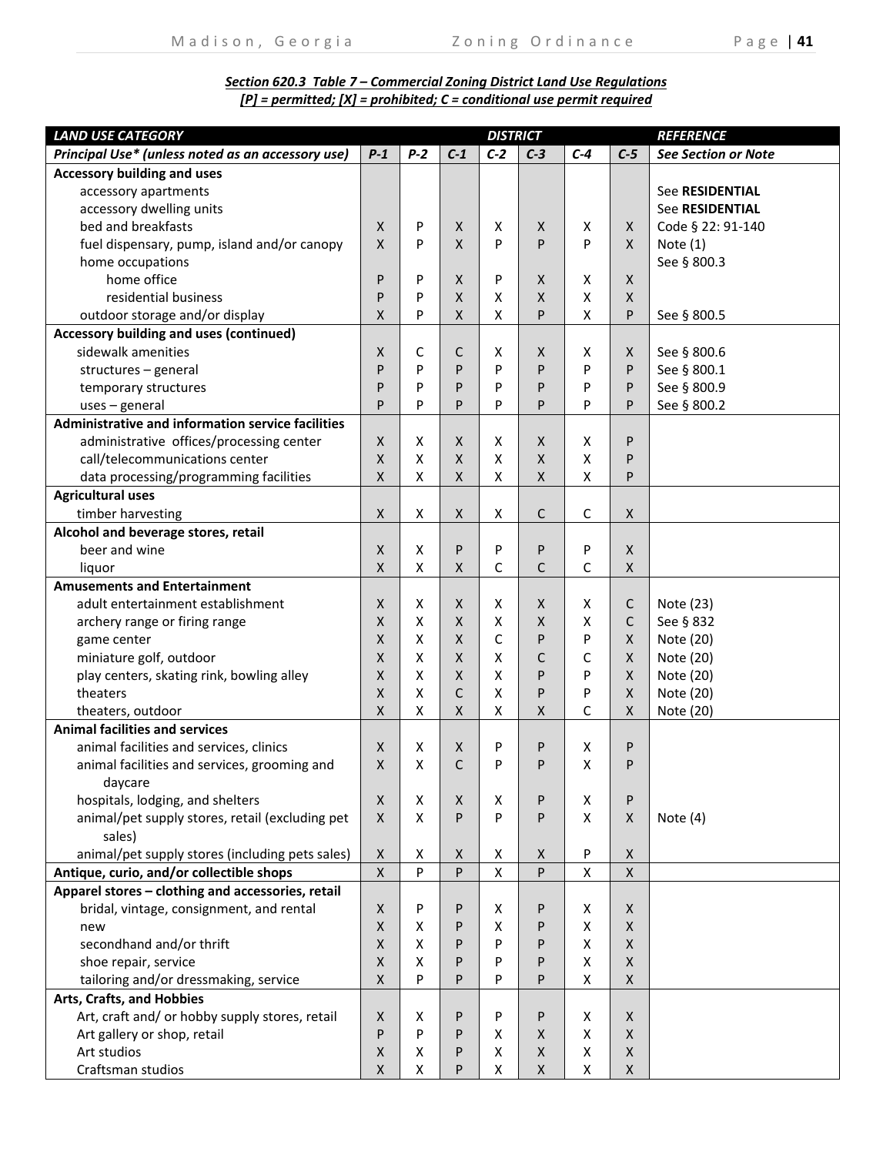# *Section 620.3 Table 7 – Commercial Zoning District Land Use Regulations [P] = permitted; [X] = prohibited; C = conditional use permit required*

| <b>LAND USE CATEGORY</b>                          |                    |       | <b>REFERENCE</b> |                    |                    |       |              |                            |
|---------------------------------------------------|--------------------|-------|------------------|--------------------|--------------------|-------|--------------|----------------------------|
| Principal Use* (unless noted as an accessory use) | $P-1$              | $P-2$ | $C-1$            | $C-2$              | $C-3$              | $C-4$ | $C-5$        | <b>See Section or Note</b> |
| <b>Accessory building and uses</b>                |                    |       |                  |                    |                    |       |              |                            |
| accessory apartments                              |                    |       |                  |                    |                    |       |              | See RESIDENTIAL            |
| accessory dwelling units                          |                    |       |                  |                    |                    |       |              | <b>See RESIDENTIAL</b>     |
| bed and breakfasts                                | X                  | P     | X                | X                  | X                  | x     | X.           | Code § 22: 91-140          |
| fuel dispensary, pump, island and/or canopy       | X                  | P     | X                | P                  | P                  | P     | X.           | Note $(1)$                 |
| home occupations                                  |                    |       |                  |                    |                    |       |              | See § 800.3                |
| home office                                       | P                  | P     | X                | P                  | X                  | x     | X            |                            |
| residential business                              | P                  | P     | X                | х                  | $\mathsf{x}$       | X     | X            |                            |
| outdoor storage and/or display                    | X                  | P     | X                | $\pmb{\mathsf{X}}$ | P                  | X     | P            | See § 800.5                |
| Accessory building and uses (continued)           |                    |       |                  |                    |                    |       |              |                            |
| sidewalk amenities                                | X                  | С     | С                | X                  | X                  | x     | X            | See § 800.6                |
| structures - general                              | P                  | P     | P                | P                  | P                  | P     | P            | See § 800.1                |
| temporary structures                              | P                  | P     | P                | P                  | P                  | P     | P            | See § 800.9                |
| $uses$ – general                                  | P                  | P     | P                | P                  | P                  | P     | P            | See § 800.2                |
| Administrative and information service facilities |                    |       |                  |                    |                    |       |              |                            |
| administrative offices/processing center          | X                  | x     | X                | Χ                  | X                  | x     | P            |                            |
| call/telecommunications center                    | X                  | X     | X                | X                  | $\mathsf{X}$       | X     | P            |                            |
| data processing/programming facilities            | X                  | X     | X                | Χ                  | X                  | X     | P            |                            |
| <b>Agricultural uses</b>                          |                    |       |                  |                    |                    |       |              |                            |
| timber harvesting                                 | X                  | X     | X                | Χ                  | С                  | С     | X            |                            |
| Alcohol and beverage stores, retail               |                    |       |                  |                    |                    |       |              |                            |
| beer and wine                                     | X                  | X     | P                | P                  | P                  | P     | X            |                            |
| liquor                                            | X                  | X     | X                | С                  | C                  | C     | X            |                            |
| <b>Amusements and Entertainment</b>               |                    |       |                  |                    |                    |       |              |                            |
| adult entertainment establishment                 | X                  | x     | X                | X                  | X                  | X     | C            | Note (23)                  |
| archery range or firing range                     | X                  | X     | $\mathsf{X}$     | X                  | $\mathsf{x}$       | x     | C            | See § 832                  |
| game center                                       | X                  | X     | $\mathsf{X}$     | C                  | P                  | P     | X            | Note (20)                  |
| miniature golf, outdoor                           | X                  | x     | X                | X                  | С                  | C     | X.           | Note (20)                  |
| play centers, skating rink, bowling alley         | X                  | x     | X                | X                  | P                  | P     | X.           | Note (20)                  |
| theaters                                          | X                  | x     | C                | х                  | P                  | P     | X            | Note (20)                  |
| theaters, outdoor                                 | X                  | X     | X                | х                  | X                  | C     | X            | Note (20)                  |
| <b>Animal facilities and services</b>             |                    |       |                  |                    |                    |       |              |                            |
| animal facilities and services, clinics           | X                  | x     | X                | P                  | P                  | x     | P            |                            |
| animal facilities and services, grooming and      | X                  | X     | С                | P                  | P                  | Χ     | P            |                            |
| daycare                                           |                    |       |                  |                    |                    |       |              |                            |
| hospitals, lodging, and shelters                  | X                  | Χ     | X                | х                  | P                  | X     | P            |                            |
| animal/pet supply stores, retail (excluding pet   | X                  | X     | P                | P                  | P                  | X     | X.           | Note $(4)$                 |
| sales)                                            |                    |       |                  |                    |                    |       |              |                            |
| animal/pet supply stores (including pets sales)   | X                  | Χ     | X                | X                  | X                  | P     | X            |                            |
| Antique, curio, and/or collectible shops          | $\pmb{\mathsf{X}}$ | P     | P                | $\mathsf{x}$       | P                  | X     | $\mathsf{X}$ |                            |
| Apparel stores - clothing and accessories, retail |                    |       |                  |                    |                    |       |              |                            |
| bridal, vintage, consignment, and rental          | X                  | P     | P                | Χ                  | P                  | X.    | X            |                            |
| new                                               | X                  | x     | P                | X                  | P                  | X     | X.           |                            |
| secondhand and/or thrift                          | $\pmb{\mathsf{X}}$ | X     | P                | P                  | P                  | X     | X            |                            |
| shoe repair, service                              | X                  | x     | P                | P                  | P                  | X     | X            |                            |
| tailoring and/or dressmaking, service             | X                  | P     | P                | P                  | P                  | X     | X            |                            |
| Arts, Crafts, and Hobbies                         |                    |       |                  |                    |                    |       |              |                            |
| Art, craft and/ or hobby supply stores, retail    | X                  | x     | P                | P                  | P                  | X     | X            |                            |
| Art gallery or shop, retail                       | P                  | P     | P                | Χ                  | X                  | X     | X            |                            |
| Art studios                                       | Χ                  | x     | P                | Χ                  | X                  | X     | X            |                            |
| Craftsman studios                                 | X                  | X     | P                | $\pmb{\mathsf{X}}$ | $\pmb{\mathsf{X}}$ | X     | X            |                            |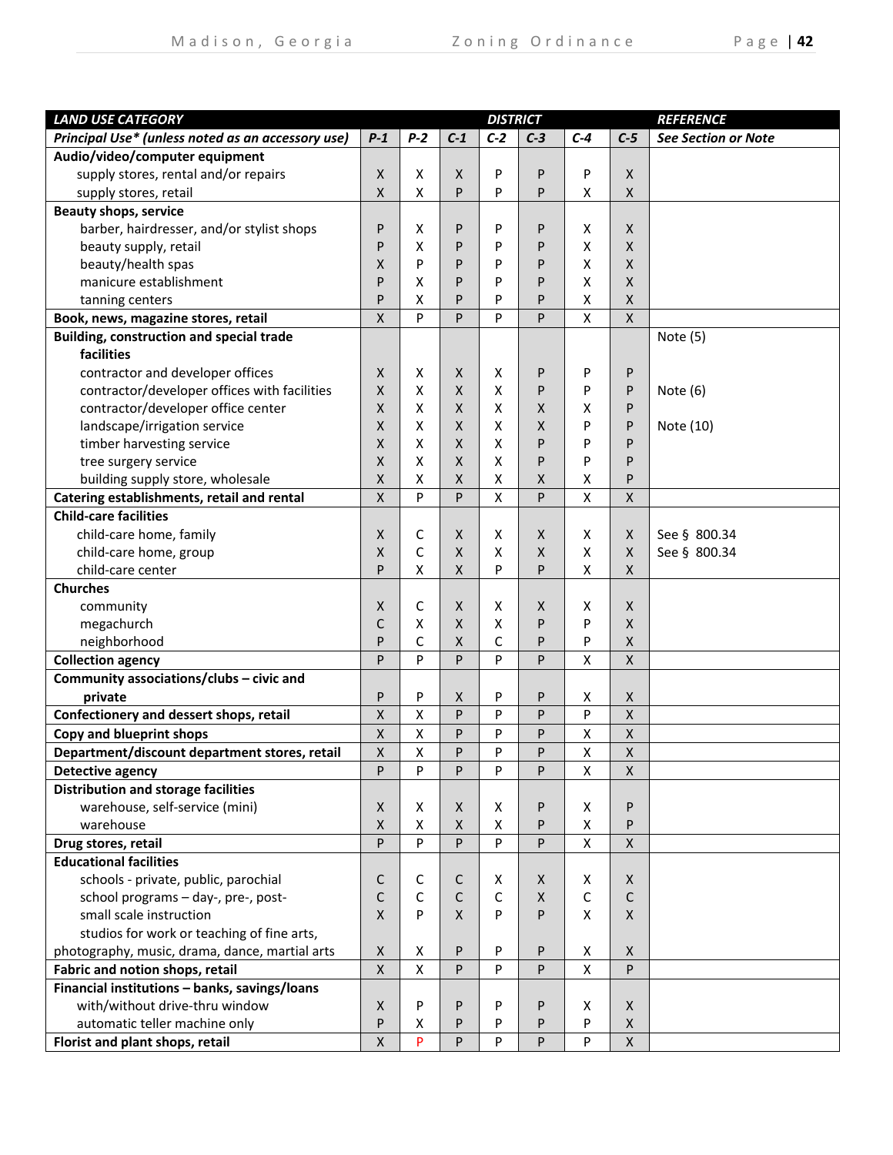| <b>LAND USE CATEGORY</b>                          |                    |       |              | <b>DISTRICT</b>    |              |       |                           | <b>REFERENCE</b>           |
|---------------------------------------------------|--------------------|-------|--------------|--------------------|--------------|-------|---------------------------|----------------------------|
| Principal Use* (unless noted as an accessory use) | $P-1$              | $P-2$ | $C-1$        | $C-2$              | $C-3$        | $C-4$ | $C-5$                     | <b>See Section or Note</b> |
| Audio/video/computer equipment                    |                    |       |              |                    |              |       |                           |                            |
| supply stores, rental and/or repairs              | X                  | X     | X            | P                  | P            | P     | X                         |                            |
| supply stores, retail                             | X                  | X     | P            | P                  | P            | X     | X                         |                            |
| <b>Beauty shops, service</b>                      |                    |       |              |                    |              |       |                           |                            |
| barber, hairdresser, and/or stylist shops         | P                  | х     | P            | P                  | P            | X     | $\mathsf{X}$              |                            |
| beauty supply, retail                             | P                  | Χ     | P            | P                  | P            | X     | X                         |                            |
| beauty/health spas                                | X                  | P     | P            | P                  | P            | X     | X                         |                            |
| manicure establishment                            | P                  | х     | P            | P                  | P            | X     | X                         |                            |
| tanning centers                                   | P                  | X     | P            | P                  | P            | X     | X                         |                            |
| Book, news, magazine stores, retail               | X                  | P     | P            | P                  | P            | X     | X                         |                            |
| Building, construction and special trade          |                    |       |              |                    |              |       |                           | Note (5)                   |
| facilities                                        |                    |       |              |                    |              |       |                           |                            |
| contractor and developer offices                  | X                  | х     | X            | Х                  | P            | P     | P                         |                            |
| contractor/developer offices with facilities      | X                  | X     | X            | X                  | P            | P     | P                         | Note (6)                   |
| contractor/developer office center                | X                  | X     | X            | X                  | X            | х     | P                         |                            |
| landscape/irrigation service                      | X                  | X     | X            | X                  | X            | P     | P                         | Note (10)                  |
| timber harvesting service                         | X                  | X     | X            | X                  | P            | P     | P                         |                            |
| tree surgery service                              | X                  | X     | X            | X                  | P            | P     | P                         |                            |
| building supply store, wholesale                  | Χ                  | X     | X            | $\pmb{\mathsf{X}}$ | X            | X     | P                         |                            |
| Catering establishments, retail and rental        | X                  | P     | P            | $\pmb{\mathsf{X}}$ | P            | X     | $\mathsf{x}$              |                            |
| <b>Child-care facilities</b>                      |                    |       |              |                    |              |       |                           |                            |
| child-care home, family                           | X                  | С     | X            | X                  | X            | X     | X                         | See § 800.34               |
| child-care home, group                            | Χ                  | C     | X            | X                  | $\mathsf{x}$ | X     | X                         | See § 800.34               |
| child-care center                                 | P                  | X     | X            | P                  | P            | X     | X                         |                            |
| <b>Churches</b>                                   |                    |       |              |                    |              |       |                           |                            |
| community                                         | X                  | С     | X            | X                  | X            | x     | X                         |                            |
| megachurch                                        | C                  | Χ     | X            | X                  | P            | P     | X                         |                            |
| neighborhood                                      | P                  | C     | X            | С                  | P            | P     | X                         |                            |
| <b>Collection agency</b>                          | P                  | P     | P            | P                  | P            | X     | X                         |                            |
| Community associations/clubs - civic and          |                    |       |              |                    |              |       |                           |                            |
| private                                           | P                  | P     | X            | P                  | P            | X     | X                         |                            |
| Confectionery and dessert shops, retail           | $\pmb{\mathsf{X}}$ | Χ     | P            | P                  | P            | P     | $\overline{X}$            |                            |
| Copy and blueprint shops                          | $\pmb{\mathsf{X}}$ | Χ     | P            | P                  | P            | Χ     | $\pmb{\mathsf{X}}$        |                            |
| Department/discount department stores, retail     | X                  | X     | P            | P                  | P            | X     | $\boldsymbol{\mathsf{X}}$ |                            |
| Detective agency                                  | P                  | P     | P            | P                  | P            | X     | X                         |                            |
| <b>Distribution and storage facilities</b>        |                    |       |              |                    |              |       |                           |                            |
| warehouse, self-service (mini)                    | X                  | X     | X            | X                  | P            | Χ     | P                         |                            |
| warehouse                                         | X                  | X     | X            | X                  | P            | X     | P                         |                            |
| Drug stores, retail                               | P                  | P     | P            | P                  | P            | X     | X                         |                            |
| <b>Educational facilities</b>                     |                    |       |              |                    |              |       |                           |                            |
| schools - private, public, parochial              | C                  | С     | C            | Χ                  | X            | X     | X                         |                            |
| school programs - day-, pre-, post-               | С                  | C     | C            | C                  | X            | C     | $\mathsf{C}$              |                            |
| small scale instruction                           | X                  | P     | $\mathsf{X}$ | P                  | P            | X     | $\mathsf{X}$              |                            |
| studios for work or teaching of fine arts,        |                    |       |              |                    |              |       |                           |                            |
| photography, music, drama, dance, martial arts    | X                  | X     | P            | P                  | P            | X     | X                         |                            |
| Fabric and notion shops, retail                   | $\pmb{\chi}$       | X     | P            | P                  | P            | X     | P                         |                            |
| Financial institutions - banks, savings/loans     |                    |       |              |                    |              |       |                           |                            |
| with/without drive-thru window                    | X                  | P     | P            | P                  | P            | X     | $\mathsf{X}$              |                            |
| automatic teller machine only                     | P                  | x     | P            | P                  | P            | P     | X                         |                            |
| Florist and plant shops, retail                   | $\pmb{\mathsf{X}}$ | P     | P            | P                  | P            | P     | $\mathsf{X}$              |                            |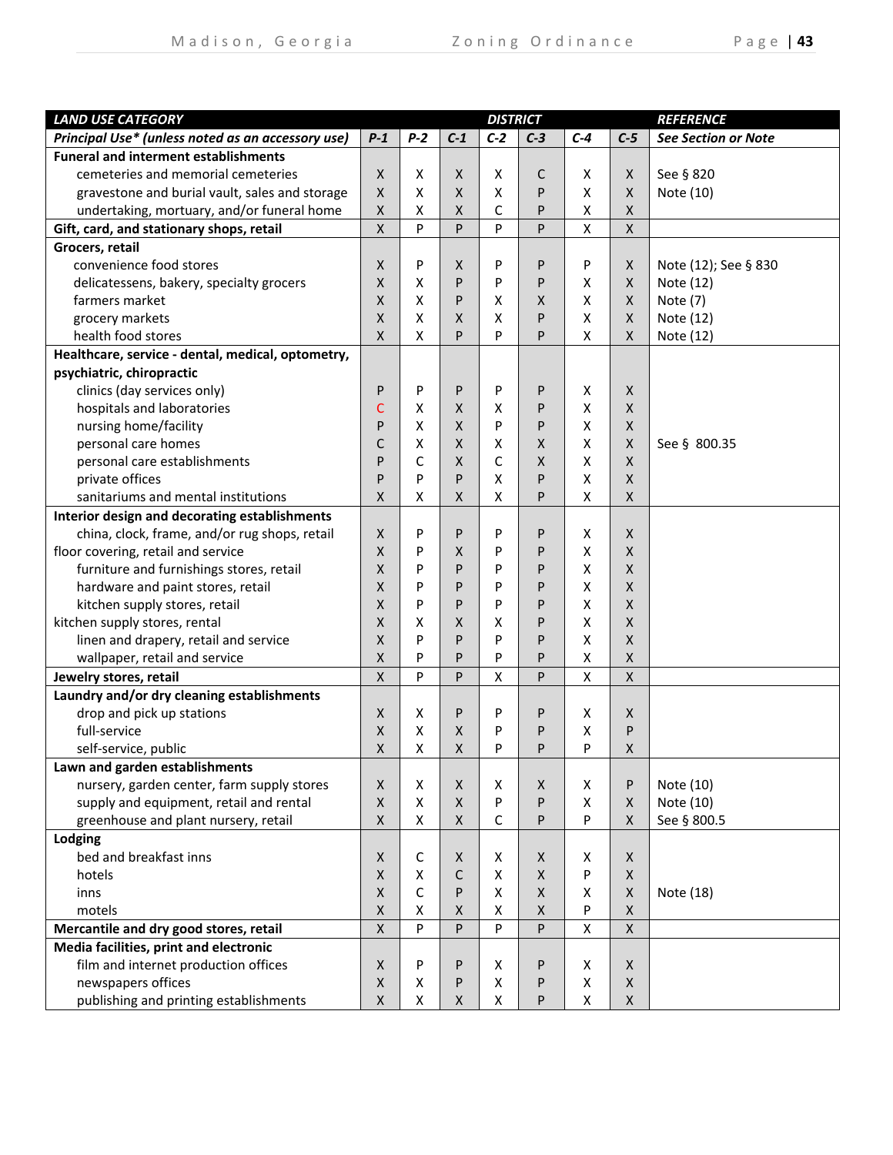| <b>LAND USE CATEGORY</b>                          |                    |       |              | <b>DISTRICT</b>    |                    |       |              | <b>REFERENCE</b>           |
|---------------------------------------------------|--------------------|-------|--------------|--------------------|--------------------|-------|--------------|----------------------------|
| Principal Use* (unless noted as an accessory use) | $P-1$              | $P-2$ | $C-1$        | $C-2$              | $C-3$              | $C-4$ | $C-5$        | <b>See Section or Note</b> |
| <b>Funeral and interment establishments</b>       |                    |       |              |                    |                    |       |              |                            |
| cemeteries and memorial cemeteries                | X                  | х     | X            | х                  | C                  | X     | X            | See § 820                  |
| gravestone and burial vault, sales and storage    | X                  | Χ     | $\mathsf{X}$ | X                  | P                  | X     | X            | Note (10)                  |
| undertaking, mortuary, and/or funeral home        | Χ                  | x     | X            | С                  | P                  | X     | X            |                            |
| Gift, card, and stationary shops, retail          | $\mathsf{x}$       | P     | P            | P                  | P                  | Χ     | X            |                            |
| Grocers, retail                                   |                    |       |              |                    |                    |       |              |                            |
| convenience food stores                           | X                  | P     | X            | P                  | P                  | P     | X            | Note (12); See § 830       |
| delicatessens, bakery, specialty grocers          | X                  | X     | P            | P                  | P                  | X     | X            | Note (12)                  |
| farmers market                                    | X                  | x     | P            | X                  | X                  | x     | X            | Note (7)                   |
| grocery markets                                   | X                  | х     | X            | X                  | P                  | x     | X            | Note (12)                  |
| health food stores                                | X                  | X     | P            | P                  | P                  | X     | X            | Note (12)                  |
| Healthcare, service - dental, medical, optometry, |                    |       |              |                    |                    |       |              |                            |
| psychiatric, chiropractic                         |                    |       |              |                    |                    |       |              |                            |
| clinics (day services only)                       | P                  | P     | P            | P                  | P                  | X     | $\mathsf{X}$ |                            |
| hospitals and laboratories                        | C                  | Χ     | X            | X                  | P                  | X     | $\mathsf{x}$ |                            |
| nursing home/facility                             | P                  | Χ     | $\mathsf{X}$ | P                  | P                  | X     | X            |                            |
| personal care homes                               | C                  | X     | $\mathsf{X}$ | X                  | X                  | X     | X            | See § 800.35               |
| personal care establishments                      | P                  | C     | $\mathsf{X}$ | С                  | X                  | X     | $\mathsf{X}$ |                            |
| private offices                                   | P                  | P     | P            | $\pmb{\mathsf{X}}$ | P                  | X     | X            |                            |
| sanitariums and mental institutions               | X                  | Χ     | $\mathsf{X}$ | x                  | P                  | X     | X            |                            |
| Interior design and decorating establishments     |                    |       |              |                    |                    |       |              |                            |
| china, clock, frame, and/or rug shops, retail     | X                  | P     | P            | P                  | P                  | X     | X            |                            |
| floor covering, retail and service                | X                  | P     | X            | P                  | P                  | X     | X            |                            |
| furniture and furnishings stores, retail          | X                  | P     | P            | P                  | P                  | X     | X            |                            |
| hardware and paint stores, retail                 | X                  | P     | P            | P                  | P                  | X     | X            |                            |
| kitchen supply stores, retail                     | X                  | P     | P            | P                  | P                  | X     | X            |                            |
| kitchen supply stores, rental                     | X                  | Χ     | X            | x                  | P                  | X     | X            |                            |
| linen and drapery, retail and service             | X                  | P     | P            | P                  | P                  | x     | X            |                            |
| wallpaper, retail and service                     | X                  | P     | P            | P                  | P                  | X     | X            |                            |
| Jewelry stores, retail                            | X                  | P     | P            | X                  | P                  | X     | X            |                            |
| Laundry and/or dry cleaning establishments        |                    |       |              |                    |                    |       |              |                            |
| drop and pick up stations                         | X                  | х     | P            | P                  | P                  | x     | X            |                            |
| full-service                                      | Χ                  | Χ     | X            | Ρ                  | P                  | Χ     | P            |                            |
| self-service, public                              | X                  | X     | $\mathsf{X}$ | P                  | P                  | P     | Χ            |                            |
| Lawn and garden establishments                    |                    |       |              |                    |                    |       |              |                            |
| nursery, garden center, farm supply stores        | X                  | X     | X            | X                  | X                  | X     | P            | Note (10)                  |
| supply and equipment, retail and rental           | $\mathsf X$        | X     | X            | P                  | P                  | X     | X            | Note (10)                  |
| greenhouse and plant nursery, retail              | X                  | X     | X            | С                  | P                  | P     | X            | See § 800.5                |
| Lodging                                           |                    |       |              |                    |                    |       |              |                            |
| bed and breakfast inns                            | X                  | С     | X            | Χ                  | $\pmb{\mathsf{X}}$ | Χ     | X            |                            |
| hotels                                            | X                  | X     | C            | X                  | $\pmb{\mathsf{X}}$ | P     | X            |                            |
| inns                                              | $\pmb{\mathsf{X}}$ | C     | P            | $\pmb{\mathsf{X}}$ | $\mathsf X$        | X     | X            | Note (18)                  |
| motels                                            | Χ                  | Χ     | X            | $\pmb{\mathsf{X}}$ | $\pmb{\mathsf{X}}$ | P     | X            |                            |
| Mercantile and dry good stores, retail            | $\pmb{\mathsf{X}}$ | P     | P            | P                  | ${\sf P}$          | X     | $\mathsf X$  |                            |
| Media facilities, print and electronic            |                    |       |              |                    |                    |       |              |                            |
| film and internet production offices              | X                  | P     | P            | х                  | P                  | X     | X            |                            |
| newspapers offices                                | Χ                  | Χ     | P            | X                  | P                  | X     | X            |                            |
| publishing and printing establishments            | X                  | X     | X            | X                  | P                  | X     | X            |                            |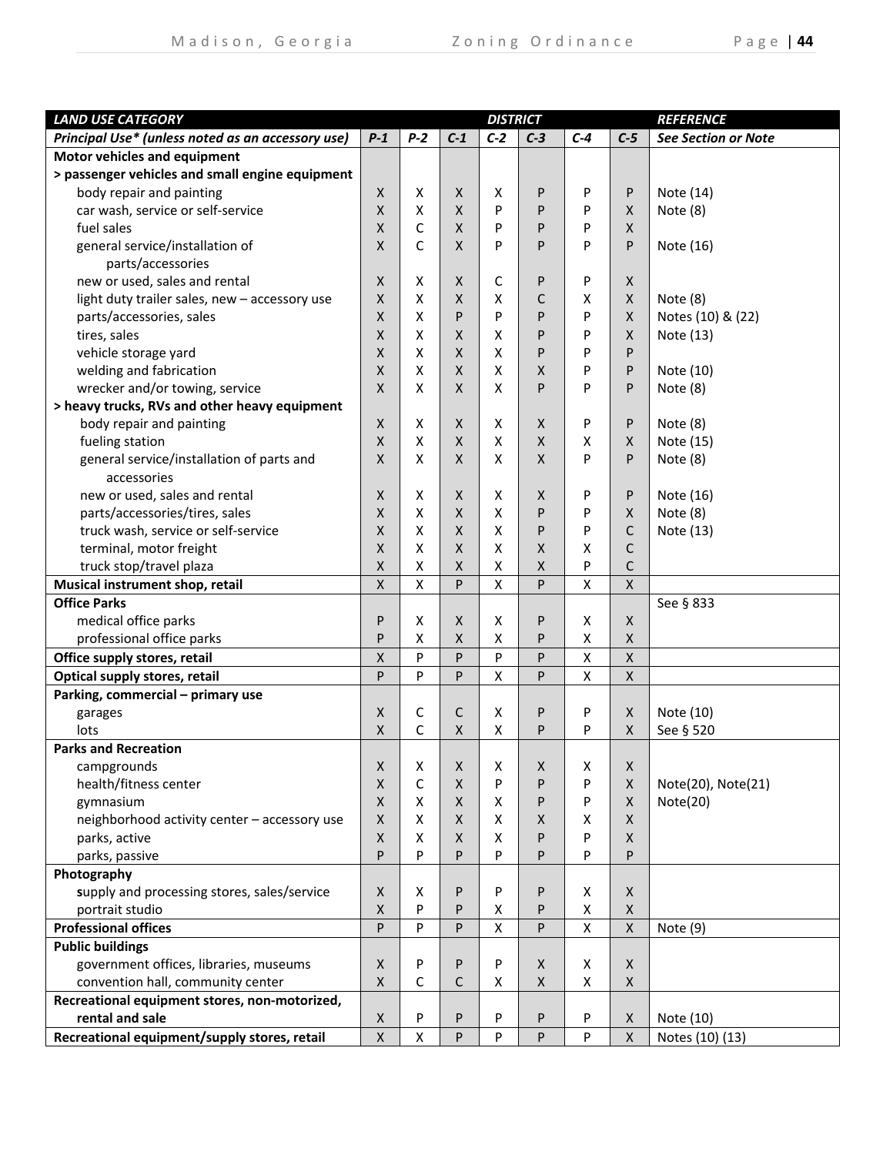| <b>LAND USE CATEGORY</b>                          |                           |                    |       | <b>DISTRICT</b> |       |       |              | <b>REFERENCE</b>           |
|---------------------------------------------------|---------------------------|--------------------|-------|-----------------|-------|-------|--------------|----------------------------|
| Principal Use* (unless noted as an accessory use) | $P-1$                     | $P-2$              | $C-1$ | $C-2$           | $C-3$ | $C-4$ | $C-5$        | <b>See Section or Note</b> |
| Motor vehicles and equipment                      |                           |                    |       |                 |       |       |              |                            |
| > passenger vehicles and small engine equipment   |                           |                    |       |                 |       |       |              |                            |
| body repair and painting                          | X                         | X                  | X     | X               | P     | P     | P            | Note (14)                  |
| car wash, service or self-service                 | X                         | X                  | X     | P               | P     | P     | X            | Note (8)                   |
| fuel sales                                        | X                         | C                  | X     | P               | P     | P     | X            |                            |
| general service/installation of                   | X                         | C                  | X     | P               | P     | P     | P            | Note (16)                  |
| parts/accessories                                 |                           |                    |       |                 |       |       |              |                            |
| new or used, sales and rental                     | $\mathsf{X}$              | X                  | X     | C               | P     | P     | X            |                            |
| light duty trailer sales, new - accessory use     | X                         | X                  | X     | х               | C     | X     | X            | Note (8)                   |
| parts/accessories, sales                          | $\mathsf{X}$              | X                  | P     | P               | P     | P     | X            | Notes (10) & (22)          |
| tires, sales                                      | X                         | X                  | X     | x               | P     | P     | X            | Note (13)                  |
| vehicle storage yard                              | X                         | X                  | X     | x               | P     | P     | P            |                            |
| welding and fabrication                           | X                         | X                  | X.    | X               | X     | P     | P            | Note (10)                  |
| wrecker and/or towing, service                    | X                         | X                  | X     | x               | P     | P     | P            | Note (8)                   |
| > heavy trucks, RVs and other heavy equipment     |                           |                    |       |                 |       |       |              |                            |
| body repair and painting                          | X                         | X                  | X     | x               | X     | P     | P            | Note $(8)$                 |
| fueling station                                   | $\mathsf{x}$              | X                  | X     | X               | X     | x     | X            | Note (15)                  |
| general service/installation of parts and         | X                         | X                  | X     | х               | X     | P     | P            | Note (8)                   |
| accessories                                       |                           |                    |       |                 |       |       |              |                            |
| new or used, sales and rental                     | $\mathsf{X}$              | X                  | X.    | X               | Χ     | P     | P            | Note (16)                  |
| parts/accessories/tires, sales                    | X                         | X                  | X     | X               | P     | P     | X.           | Note (8)                   |
| truck wash, service or self-service               | X                         | X                  | X     | X               | P     | P     | C            | Note (13)                  |
| terminal, motor freight                           | $\boldsymbol{\mathsf{X}}$ | X                  | X     | X               | X     | X     | C            |                            |
| truck stop/travel plaza                           | $\pmb{\mathsf{X}}$        | X                  | X.    | X               | X     | P     | C            |                            |
| Musical instrument shop, retail                   | $\mathsf{X}$              | $\pmb{\mathsf{X}}$ | P     | X               | P     | X     | $\mathsf{x}$ |                            |
| <b>Office Parks</b>                               |                           |                    |       |                 |       |       |              | See § 833                  |
| medical office parks                              | P                         | X                  | X     | x               | P     | X     | X            |                            |
| professional office parks                         | P                         | X                  | X     | х               | P     | X     | X            |                            |
| Office supply stores, retail                      | Χ                         | P                  | P     | P               | P     | Χ     | X            |                            |
| Optical supply stores, retail                     | P                         | P                  | P     | X               | P     | X     | X            |                            |
| Parking, commercial - primary use                 |                           |                    |       |                 |       |       |              |                            |
| garages                                           | X                         | C                  | C     | X               | P     | P     | X            | Note (10)                  |
| lots                                              | X                         | C                  | X     | X               | P     | P     | X            | See § 520                  |
| <b>Parks and Recreation</b>                       |                           |                    |       |                 |       |       |              |                            |
| campgrounds                                       | X                         | X                  | X     | х               | Χ     | X     | X            |                            |
| health/fitness center                             | X                         | C                  | X     | P               | P     | P     | X            | Note(20), Note(21)         |
| gymnasium                                         | $\boldsymbol{\mathsf{X}}$ | X                  | X.    | X               | P     | P     | X            | Note(20)                   |
| neighborhood activity center - accessory use      | $\boldsymbol{\mathsf{X}}$ | X                  | X     | X               | X     | X     | X.           |                            |
| parks, active                                     | $\mathsf{x}$              | X                  | X.    | X               | P     | P     | X.           |                            |
| parks, passive                                    | P                         | P                  | P     | P               | P     | P     | P            |                            |
| Photography                                       |                           |                    |       |                 |       |       |              |                            |
| supply and processing stores, sales/service       | $\mathsf{X}$              | X                  | P     | P               | P     | X     | X            |                            |
| portrait studio                                   | $\boldsymbol{\mathsf{X}}$ | P                  | P     | Χ               | P     | X     | X            |                            |
| <b>Professional offices</b>                       | P                         | P                  | P     | $\pmb{\times}$  | P     | X     | X            | Note (9)                   |
| <b>Public buildings</b>                           |                           |                    |       |                 |       |       |              |                            |
| government offices, libraries, museums            | $\mathsf{X}$              | P                  | P     | P               | X     | X     | X            |                            |
| convention hall, community center                 | X                         | C                  | C     | x               | X     | X     | X            |                            |
| Recreational equipment stores, non-motorized,     |                           |                    |       |                 |       |       |              |                            |
| rental and sale                                   | X                         | P                  | P     | P               | P     | P     | X            | Note (10)                  |
| Recreational equipment/supply stores, retail      | $\mathsf X$               | $\pmb{\mathsf{X}}$ | P     | P               | P     | P     | X            | Notes (10) (13)            |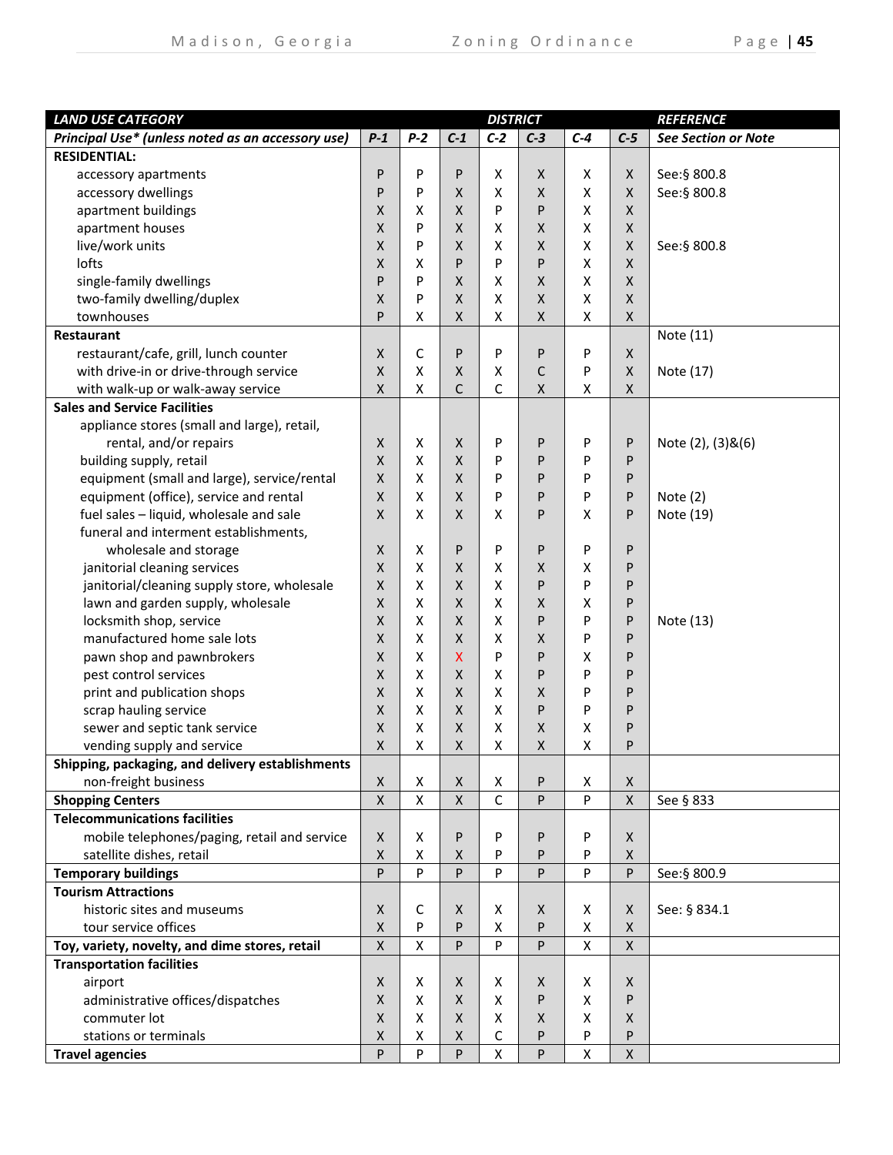| $P-2$<br>Principal Use* (unless noted as an accessory use)<br>$P-1$<br>$C-1$<br>$C-2$<br>$C-3$<br>$C-4$<br>$C-5$<br><b>See Section or Note</b><br><b>RESIDENTIAL:</b><br>P<br>P<br>P<br>X<br>X<br>See: § 800.8<br>accessory apartments<br>Χ<br>X<br>P<br>P<br>X<br>$\pmb{\mathsf{X}}$<br>X<br>See:§ 800.8<br>accessory dwellings<br>$\mathsf{X}$<br>X<br>P<br>P<br>apartment buildings<br>Χ<br>Χ<br>X<br>X<br>X<br>apartment houses<br>X<br>$\pmb{\mathsf{X}}$<br>$\mathsf X$<br>P<br>X<br>X<br>X<br>live/work units<br>X<br>X<br>X<br>$\mathsf X$<br>P<br>$\mathsf{X}$<br>X<br>See:§ 800.8<br>lofts<br>P<br>P<br>X<br>Χ<br>P<br>X<br>х<br>single-family dwellings<br>P<br>$\pmb{\mathsf{X}}$<br>X<br>P<br>$\mathsf{X}$<br>X<br>X<br>$\mathsf{X}$<br>two-family dwelling/duplex<br>Χ<br>X<br>Χ<br>P<br>$\mathsf{X}$<br>X<br>P<br>$\pmb{\mathsf{X}}$<br>townhouses<br>X<br>$\pmb{\mathsf{X}}$<br>Χ<br>Χ<br>X<br>Note (11)<br><b>Restaurant</b><br>restaurant/cafe, grill, lunch counter<br>C<br>X<br>P<br>P<br>P<br>P<br>X<br>with drive-in or drive-through service<br>X<br>C<br>X<br>$\mathsf{X}$<br>X<br>P<br>X<br>Note (17)<br>C<br>with walk-up or walk-away service<br>Χ<br>C<br>X<br>X<br>x<br>Χ<br><b>Sales and Service Facilities</b><br>appliance stores (small and large), retail,<br>rental, and/or repairs<br>P<br>Note (2), (3)&(6)<br>X<br>x<br>X<br>P<br>P<br>P<br>building supply, retail<br>X<br>X<br>X<br>P<br>P<br>P<br>P<br>equipment (small and large), service/rental<br>X<br>X<br>$\mathsf{X}$<br>P<br>P<br>P<br>P<br>equipment (office), service and rental<br>X<br>X<br>$\mathsf{X}$<br>P<br>P<br>P<br>P<br>Note $(2)$<br>fuel sales - liquid, wholesale and sale<br>X<br>x<br>$\mathsf{X}$<br>X<br>P<br>X<br>P<br>Note (19)<br>funeral and interment establishments,<br>P<br>P<br>wholesale and storage<br>X<br>X<br>P<br>P<br>P<br>janitorial cleaning services<br>X<br>x<br>$\mathsf{X}$<br>х<br>X<br>Χ<br>P<br>janitorial/cleaning supply store, wholesale<br>X<br>x<br>X<br>P<br>$\mathsf{X}$<br>P<br>P<br>lawn and garden supply, wholesale<br>X<br>$\pmb{\mathsf{X}}$<br>x<br>$\mathsf{X}$<br>X<br>P<br>X<br>X<br>X<br>P<br>locksmith shop, service<br>x<br>$\mathsf{X}$<br>P<br>P<br>Note (13)<br>manufactured home sale lots<br>Χ<br>X<br>X<br>X<br>X<br>P<br>P<br>X<br>P<br>P<br>pawn shop and pawnbrokers<br>X<br>X<br>P<br>X<br>pest control services<br>X<br>P<br>X<br>$\mathsf{X}$<br>X<br>P<br>P<br>print and publication shops<br>X<br>X<br>$\times$<br>X<br>$\mathsf{X}$<br>P<br>P<br>X<br>$\boldsymbol{\mathsf{X}}$<br>X<br>P<br>scrap hauling service<br>x<br>P<br>P<br>$\mathsf{X}$<br>sewer and septic tank service<br>X<br>$\boldsymbol{\mathsf{X}}$<br>Χ<br>Χ<br>Χ<br>P<br>$\pmb{\mathsf{X}}$<br>X<br>Χ<br>Χ<br>vending supply and service<br>x<br>Χ<br>P<br>Shipping, packaging, and delivery establishments<br>non-freight business<br>X<br>Χ<br>Χ<br>X<br>P<br>Χ<br>X<br>C<br>P<br><b>Shopping Centers</b><br>$\mathsf X$<br>X<br>$\mathsf{X}$<br>P<br>$\mathsf{X}$<br>See § 833<br><b>Telecommunications facilities</b><br>mobile telephones/paging, retail and service<br>X<br>x<br>P<br>P<br>P<br>P<br>X<br>satellite dishes, retail<br>X<br>X<br>P<br>P<br>P<br>$\mathsf{X}$<br>x<br>P<br>P<br>P.<br>P<br>P<br>P<br>P<br>See: § 800.9<br><b>Temporary buildings</b><br><b>Tourism Attractions</b><br>historic sites and museums<br>Χ<br>С<br>X<br>X<br>See: § 834.1<br>X<br>Χ<br>X<br>X<br>P<br>P<br>tour service offices<br>P<br>X<br>X<br>X<br>P<br>X<br>Toy, variety, novelty, and dime stores, retail<br>Χ<br>X<br>P<br>P<br>X<br><b>Transportation facilities</b><br>airport<br>X<br>X<br>X<br>X<br>X<br>Χ<br>X<br>administrative offices/dispatches<br>X<br>X<br>X<br>X<br>P<br>X<br>P<br>X<br>commuter lot<br>X<br>$\mathsf{X}$<br>X<br>X<br>X<br>X<br>stations or terminals<br>Χ<br>С<br>P<br>x<br>X<br>P<br>P<br>P<br>P<br>P<br>$\pmb{\mathsf{X}}$<br>P<br>$\mathsf{X}$<br><b>Travel agencies</b><br>X | <b>LAND USE CATEGORY</b> |  | <b>DISTRICT</b> |  | <b>REFERENCE</b> |
|------------------------------------------------------------------------------------------------------------------------------------------------------------------------------------------------------------------------------------------------------------------------------------------------------------------------------------------------------------------------------------------------------------------------------------------------------------------------------------------------------------------------------------------------------------------------------------------------------------------------------------------------------------------------------------------------------------------------------------------------------------------------------------------------------------------------------------------------------------------------------------------------------------------------------------------------------------------------------------------------------------------------------------------------------------------------------------------------------------------------------------------------------------------------------------------------------------------------------------------------------------------------------------------------------------------------------------------------------------------------------------------------------------------------------------------------------------------------------------------------------------------------------------------------------------------------------------------------------------------------------------------------------------------------------------------------------------------------------------------------------------------------------------------------------------------------------------------------------------------------------------------------------------------------------------------------------------------------------------------------------------------------------------------------------------------------------------------------------------------------------------------------------------------------------------------------------------------------------------------------------------------------------------------------------------------------------------------------------------------------------------------------------------------------------------------------------------------------------------------------------------------------------------------------------------------------------------------------------------------------------------------------------------------------------------------------------------------------------------------------------------------------------------------------------------------------------------------------------------------------------------------------------------------------------------------------------------------------------------------------------------------------------------------------------------------------------------------------------------------------------------------------------------------------------------------------------------------------------------------------------------------------------------------------------------------------------------------------------------------------------------------------------------------------------------------------------------------------------------------------------------------------------------------------------------------------------------------------------------------------------------------------------------------------------------------------------------------------------------------------------------------------------------------------------------------------------------------------------------------------------------------------------------------------------------------------------------------------|--------------------------|--|-----------------|--|------------------|
|                                                                                                                                                                                                                                                                                                                                                                                                                                                                                                                                                                                                                                                                                                                                                                                                                                                                                                                                                                                                                                                                                                                                                                                                                                                                                                                                                                                                                                                                                                                                                                                                                                                                                                                                                                                                                                                                                                                                                                                                                                                                                                                                                                                                                                                                                                                                                                                                                                                                                                                                                                                                                                                                                                                                                                                                                                                                                                                                                                                                                                                                                                                                                                                                                                                                                                                                                                                                                                                                                                                                                                                                                                                                                                                                                                                                                                                                                                                                                                        |                          |  |                 |  |                  |
|                                                                                                                                                                                                                                                                                                                                                                                                                                                                                                                                                                                                                                                                                                                                                                                                                                                                                                                                                                                                                                                                                                                                                                                                                                                                                                                                                                                                                                                                                                                                                                                                                                                                                                                                                                                                                                                                                                                                                                                                                                                                                                                                                                                                                                                                                                                                                                                                                                                                                                                                                                                                                                                                                                                                                                                                                                                                                                                                                                                                                                                                                                                                                                                                                                                                                                                                                                                                                                                                                                                                                                                                                                                                                                                                                                                                                                                                                                                                                                        |                          |  |                 |  |                  |
|                                                                                                                                                                                                                                                                                                                                                                                                                                                                                                                                                                                                                                                                                                                                                                                                                                                                                                                                                                                                                                                                                                                                                                                                                                                                                                                                                                                                                                                                                                                                                                                                                                                                                                                                                                                                                                                                                                                                                                                                                                                                                                                                                                                                                                                                                                                                                                                                                                                                                                                                                                                                                                                                                                                                                                                                                                                                                                                                                                                                                                                                                                                                                                                                                                                                                                                                                                                                                                                                                                                                                                                                                                                                                                                                                                                                                                                                                                                                                                        |                          |  |                 |  |                  |
|                                                                                                                                                                                                                                                                                                                                                                                                                                                                                                                                                                                                                                                                                                                                                                                                                                                                                                                                                                                                                                                                                                                                                                                                                                                                                                                                                                                                                                                                                                                                                                                                                                                                                                                                                                                                                                                                                                                                                                                                                                                                                                                                                                                                                                                                                                                                                                                                                                                                                                                                                                                                                                                                                                                                                                                                                                                                                                                                                                                                                                                                                                                                                                                                                                                                                                                                                                                                                                                                                                                                                                                                                                                                                                                                                                                                                                                                                                                                                                        |                          |  |                 |  |                  |
|                                                                                                                                                                                                                                                                                                                                                                                                                                                                                                                                                                                                                                                                                                                                                                                                                                                                                                                                                                                                                                                                                                                                                                                                                                                                                                                                                                                                                                                                                                                                                                                                                                                                                                                                                                                                                                                                                                                                                                                                                                                                                                                                                                                                                                                                                                                                                                                                                                                                                                                                                                                                                                                                                                                                                                                                                                                                                                                                                                                                                                                                                                                                                                                                                                                                                                                                                                                                                                                                                                                                                                                                                                                                                                                                                                                                                                                                                                                                                                        |                          |  |                 |  |                  |
|                                                                                                                                                                                                                                                                                                                                                                                                                                                                                                                                                                                                                                                                                                                                                                                                                                                                                                                                                                                                                                                                                                                                                                                                                                                                                                                                                                                                                                                                                                                                                                                                                                                                                                                                                                                                                                                                                                                                                                                                                                                                                                                                                                                                                                                                                                                                                                                                                                                                                                                                                                                                                                                                                                                                                                                                                                                                                                                                                                                                                                                                                                                                                                                                                                                                                                                                                                                                                                                                                                                                                                                                                                                                                                                                                                                                                                                                                                                                                                        |                          |  |                 |  |                  |
|                                                                                                                                                                                                                                                                                                                                                                                                                                                                                                                                                                                                                                                                                                                                                                                                                                                                                                                                                                                                                                                                                                                                                                                                                                                                                                                                                                                                                                                                                                                                                                                                                                                                                                                                                                                                                                                                                                                                                                                                                                                                                                                                                                                                                                                                                                                                                                                                                                                                                                                                                                                                                                                                                                                                                                                                                                                                                                                                                                                                                                                                                                                                                                                                                                                                                                                                                                                                                                                                                                                                                                                                                                                                                                                                                                                                                                                                                                                                                                        |                          |  |                 |  |                  |
|                                                                                                                                                                                                                                                                                                                                                                                                                                                                                                                                                                                                                                                                                                                                                                                                                                                                                                                                                                                                                                                                                                                                                                                                                                                                                                                                                                                                                                                                                                                                                                                                                                                                                                                                                                                                                                                                                                                                                                                                                                                                                                                                                                                                                                                                                                                                                                                                                                                                                                                                                                                                                                                                                                                                                                                                                                                                                                                                                                                                                                                                                                                                                                                                                                                                                                                                                                                                                                                                                                                                                                                                                                                                                                                                                                                                                                                                                                                                                                        |                          |  |                 |  |                  |
|                                                                                                                                                                                                                                                                                                                                                                                                                                                                                                                                                                                                                                                                                                                                                                                                                                                                                                                                                                                                                                                                                                                                                                                                                                                                                                                                                                                                                                                                                                                                                                                                                                                                                                                                                                                                                                                                                                                                                                                                                                                                                                                                                                                                                                                                                                                                                                                                                                                                                                                                                                                                                                                                                                                                                                                                                                                                                                                                                                                                                                                                                                                                                                                                                                                                                                                                                                                                                                                                                                                                                                                                                                                                                                                                                                                                                                                                                                                                                                        |                          |  |                 |  |                  |
|                                                                                                                                                                                                                                                                                                                                                                                                                                                                                                                                                                                                                                                                                                                                                                                                                                                                                                                                                                                                                                                                                                                                                                                                                                                                                                                                                                                                                                                                                                                                                                                                                                                                                                                                                                                                                                                                                                                                                                                                                                                                                                                                                                                                                                                                                                                                                                                                                                                                                                                                                                                                                                                                                                                                                                                                                                                                                                                                                                                                                                                                                                                                                                                                                                                                                                                                                                                                                                                                                                                                                                                                                                                                                                                                                                                                                                                                                                                                                                        |                          |  |                 |  |                  |
|                                                                                                                                                                                                                                                                                                                                                                                                                                                                                                                                                                                                                                                                                                                                                                                                                                                                                                                                                                                                                                                                                                                                                                                                                                                                                                                                                                                                                                                                                                                                                                                                                                                                                                                                                                                                                                                                                                                                                                                                                                                                                                                                                                                                                                                                                                                                                                                                                                                                                                                                                                                                                                                                                                                                                                                                                                                                                                                                                                                                                                                                                                                                                                                                                                                                                                                                                                                                                                                                                                                                                                                                                                                                                                                                                                                                                                                                                                                                                                        |                          |  |                 |  |                  |
|                                                                                                                                                                                                                                                                                                                                                                                                                                                                                                                                                                                                                                                                                                                                                                                                                                                                                                                                                                                                                                                                                                                                                                                                                                                                                                                                                                                                                                                                                                                                                                                                                                                                                                                                                                                                                                                                                                                                                                                                                                                                                                                                                                                                                                                                                                                                                                                                                                                                                                                                                                                                                                                                                                                                                                                                                                                                                                                                                                                                                                                                                                                                                                                                                                                                                                                                                                                                                                                                                                                                                                                                                                                                                                                                                                                                                                                                                                                                                                        |                          |  |                 |  |                  |
|                                                                                                                                                                                                                                                                                                                                                                                                                                                                                                                                                                                                                                                                                                                                                                                                                                                                                                                                                                                                                                                                                                                                                                                                                                                                                                                                                                                                                                                                                                                                                                                                                                                                                                                                                                                                                                                                                                                                                                                                                                                                                                                                                                                                                                                                                                                                                                                                                                                                                                                                                                                                                                                                                                                                                                                                                                                                                                                                                                                                                                                                                                                                                                                                                                                                                                                                                                                                                                                                                                                                                                                                                                                                                                                                                                                                                                                                                                                                                                        |                          |  |                 |  |                  |
|                                                                                                                                                                                                                                                                                                                                                                                                                                                                                                                                                                                                                                                                                                                                                                                                                                                                                                                                                                                                                                                                                                                                                                                                                                                                                                                                                                                                                                                                                                                                                                                                                                                                                                                                                                                                                                                                                                                                                                                                                                                                                                                                                                                                                                                                                                                                                                                                                                                                                                                                                                                                                                                                                                                                                                                                                                                                                                                                                                                                                                                                                                                                                                                                                                                                                                                                                                                                                                                                                                                                                                                                                                                                                                                                                                                                                                                                                                                                                                        |                          |  |                 |  |                  |
|                                                                                                                                                                                                                                                                                                                                                                                                                                                                                                                                                                                                                                                                                                                                                                                                                                                                                                                                                                                                                                                                                                                                                                                                                                                                                                                                                                                                                                                                                                                                                                                                                                                                                                                                                                                                                                                                                                                                                                                                                                                                                                                                                                                                                                                                                                                                                                                                                                                                                                                                                                                                                                                                                                                                                                                                                                                                                                                                                                                                                                                                                                                                                                                                                                                                                                                                                                                                                                                                                                                                                                                                                                                                                                                                                                                                                                                                                                                                                                        |                          |  |                 |  |                  |
|                                                                                                                                                                                                                                                                                                                                                                                                                                                                                                                                                                                                                                                                                                                                                                                                                                                                                                                                                                                                                                                                                                                                                                                                                                                                                                                                                                                                                                                                                                                                                                                                                                                                                                                                                                                                                                                                                                                                                                                                                                                                                                                                                                                                                                                                                                                                                                                                                                                                                                                                                                                                                                                                                                                                                                                                                                                                                                                                                                                                                                                                                                                                                                                                                                                                                                                                                                                                                                                                                                                                                                                                                                                                                                                                                                                                                                                                                                                                                                        |                          |  |                 |  |                  |
|                                                                                                                                                                                                                                                                                                                                                                                                                                                                                                                                                                                                                                                                                                                                                                                                                                                                                                                                                                                                                                                                                                                                                                                                                                                                                                                                                                                                                                                                                                                                                                                                                                                                                                                                                                                                                                                                                                                                                                                                                                                                                                                                                                                                                                                                                                                                                                                                                                                                                                                                                                                                                                                                                                                                                                                                                                                                                                                                                                                                                                                                                                                                                                                                                                                                                                                                                                                                                                                                                                                                                                                                                                                                                                                                                                                                                                                                                                                                                                        |                          |  |                 |  |                  |
|                                                                                                                                                                                                                                                                                                                                                                                                                                                                                                                                                                                                                                                                                                                                                                                                                                                                                                                                                                                                                                                                                                                                                                                                                                                                                                                                                                                                                                                                                                                                                                                                                                                                                                                                                                                                                                                                                                                                                                                                                                                                                                                                                                                                                                                                                                                                                                                                                                                                                                                                                                                                                                                                                                                                                                                                                                                                                                                                                                                                                                                                                                                                                                                                                                                                                                                                                                                                                                                                                                                                                                                                                                                                                                                                                                                                                                                                                                                                                                        |                          |  |                 |  |                  |
|                                                                                                                                                                                                                                                                                                                                                                                                                                                                                                                                                                                                                                                                                                                                                                                                                                                                                                                                                                                                                                                                                                                                                                                                                                                                                                                                                                                                                                                                                                                                                                                                                                                                                                                                                                                                                                                                                                                                                                                                                                                                                                                                                                                                                                                                                                                                                                                                                                                                                                                                                                                                                                                                                                                                                                                                                                                                                                                                                                                                                                                                                                                                                                                                                                                                                                                                                                                                                                                                                                                                                                                                                                                                                                                                                                                                                                                                                                                                                                        |                          |  |                 |  |                  |
|                                                                                                                                                                                                                                                                                                                                                                                                                                                                                                                                                                                                                                                                                                                                                                                                                                                                                                                                                                                                                                                                                                                                                                                                                                                                                                                                                                                                                                                                                                                                                                                                                                                                                                                                                                                                                                                                                                                                                                                                                                                                                                                                                                                                                                                                                                                                                                                                                                                                                                                                                                                                                                                                                                                                                                                                                                                                                                                                                                                                                                                                                                                                                                                                                                                                                                                                                                                                                                                                                                                                                                                                                                                                                                                                                                                                                                                                                                                                                                        |                          |  |                 |  |                  |
|                                                                                                                                                                                                                                                                                                                                                                                                                                                                                                                                                                                                                                                                                                                                                                                                                                                                                                                                                                                                                                                                                                                                                                                                                                                                                                                                                                                                                                                                                                                                                                                                                                                                                                                                                                                                                                                                                                                                                                                                                                                                                                                                                                                                                                                                                                                                                                                                                                                                                                                                                                                                                                                                                                                                                                                                                                                                                                                                                                                                                                                                                                                                                                                                                                                                                                                                                                                                                                                                                                                                                                                                                                                                                                                                                                                                                                                                                                                                                                        |                          |  |                 |  |                  |
|                                                                                                                                                                                                                                                                                                                                                                                                                                                                                                                                                                                                                                                                                                                                                                                                                                                                                                                                                                                                                                                                                                                                                                                                                                                                                                                                                                                                                                                                                                                                                                                                                                                                                                                                                                                                                                                                                                                                                                                                                                                                                                                                                                                                                                                                                                                                                                                                                                                                                                                                                                                                                                                                                                                                                                                                                                                                                                                                                                                                                                                                                                                                                                                                                                                                                                                                                                                                                                                                                                                                                                                                                                                                                                                                                                                                                                                                                                                                                                        |                          |  |                 |  |                  |
|                                                                                                                                                                                                                                                                                                                                                                                                                                                                                                                                                                                                                                                                                                                                                                                                                                                                                                                                                                                                                                                                                                                                                                                                                                                                                                                                                                                                                                                                                                                                                                                                                                                                                                                                                                                                                                                                                                                                                                                                                                                                                                                                                                                                                                                                                                                                                                                                                                                                                                                                                                                                                                                                                                                                                                                                                                                                                                                                                                                                                                                                                                                                                                                                                                                                                                                                                                                                                                                                                                                                                                                                                                                                                                                                                                                                                                                                                                                                                                        |                          |  |                 |  |                  |
|                                                                                                                                                                                                                                                                                                                                                                                                                                                                                                                                                                                                                                                                                                                                                                                                                                                                                                                                                                                                                                                                                                                                                                                                                                                                                                                                                                                                                                                                                                                                                                                                                                                                                                                                                                                                                                                                                                                                                                                                                                                                                                                                                                                                                                                                                                                                                                                                                                                                                                                                                                                                                                                                                                                                                                                                                                                                                                                                                                                                                                                                                                                                                                                                                                                                                                                                                                                                                                                                                                                                                                                                                                                                                                                                                                                                                                                                                                                                                                        |                          |  |                 |  |                  |
|                                                                                                                                                                                                                                                                                                                                                                                                                                                                                                                                                                                                                                                                                                                                                                                                                                                                                                                                                                                                                                                                                                                                                                                                                                                                                                                                                                                                                                                                                                                                                                                                                                                                                                                                                                                                                                                                                                                                                                                                                                                                                                                                                                                                                                                                                                                                                                                                                                                                                                                                                                                                                                                                                                                                                                                                                                                                                                                                                                                                                                                                                                                                                                                                                                                                                                                                                                                                                                                                                                                                                                                                                                                                                                                                                                                                                                                                                                                                                                        |                          |  |                 |  |                  |
|                                                                                                                                                                                                                                                                                                                                                                                                                                                                                                                                                                                                                                                                                                                                                                                                                                                                                                                                                                                                                                                                                                                                                                                                                                                                                                                                                                                                                                                                                                                                                                                                                                                                                                                                                                                                                                                                                                                                                                                                                                                                                                                                                                                                                                                                                                                                                                                                                                                                                                                                                                                                                                                                                                                                                                                                                                                                                                                                                                                                                                                                                                                                                                                                                                                                                                                                                                                                                                                                                                                                                                                                                                                                                                                                                                                                                                                                                                                                                                        |                          |  |                 |  |                  |
|                                                                                                                                                                                                                                                                                                                                                                                                                                                                                                                                                                                                                                                                                                                                                                                                                                                                                                                                                                                                                                                                                                                                                                                                                                                                                                                                                                                                                                                                                                                                                                                                                                                                                                                                                                                                                                                                                                                                                                                                                                                                                                                                                                                                                                                                                                                                                                                                                                                                                                                                                                                                                                                                                                                                                                                                                                                                                                                                                                                                                                                                                                                                                                                                                                                                                                                                                                                                                                                                                                                                                                                                                                                                                                                                                                                                                                                                                                                                                                        |                          |  |                 |  |                  |
|                                                                                                                                                                                                                                                                                                                                                                                                                                                                                                                                                                                                                                                                                                                                                                                                                                                                                                                                                                                                                                                                                                                                                                                                                                                                                                                                                                                                                                                                                                                                                                                                                                                                                                                                                                                                                                                                                                                                                                                                                                                                                                                                                                                                                                                                                                                                                                                                                                                                                                                                                                                                                                                                                                                                                                                                                                                                                                                                                                                                                                                                                                                                                                                                                                                                                                                                                                                                                                                                                                                                                                                                                                                                                                                                                                                                                                                                                                                                                                        |                          |  |                 |  |                  |
|                                                                                                                                                                                                                                                                                                                                                                                                                                                                                                                                                                                                                                                                                                                                                                                                                                                                                                                                                                                                                                                                                                                                                                                                                                                                                                                                                                                                                                                                                                                                                                                                                                                                                                                                                                                                                                                                                                                                                                                                                                                                                                                                                                                                                                                                                                                                                                                                                                                                                                                                                                                                                                                                                                                                                                                                                                                                                                                                                                                                                                                                                                                                                                                                                                                                                                                                                                                                                                                                                                                                                                                                                                                                                                                                                                                                                                                                                                                                                                        |                          |  |                 |  |                  |
|                                                                                                                                                                                                                                                                                                                                                                                                                                                                                                                                                                                                                                                                                                                                                                                                                                                                                                                                                                                                                                                                                                                                                                                                                                                                                                                                                                                                                                                                                                                                                                                                                                                                                                                                                                                                                                                                                                                                                                                                                                                                                                                                                                                                                                                                                                                                                                                                                                                                                                                                                                                                                                                                                                                                                                                                                                                                                                                                                                                                                                                                                                                                                                                                                                                                                                                                                                                                                                                                                                                                                                                                                                                                                                                                                                                                                                                                                                                                                                        |                          |  |                 |  |                  |
|                                                                                                                                                                                                                                                                                                                                                                                                                                                                                                                                                                                                                                                                                                                                                                                                                                                                                                                                                                                                                                                                                                                                                                                                                                                                                                                                                                                                                                                                                                                                                                                                                                                                                                                                                                                                                                                                                                                                                                                                                                                                                                                                                                                                                                                                                                                                                                                                                                                                                                                                                                                                                                                                                                                                                                                                                                                                                                                                                                                                                                                                                                                                                                                                                                                                                                                                                                                                                                                                                                                                                                                                                                                                                                                                                                                                                                                                                                                                                                        |                          |  |                 |  |                  |
|                                                                                                                                                                                                                                                                                                                                                                                                                                                                                                                                                                                                                                                                                                                                                                                                                                                                                                                                                                                                                                                                                                                                                                                                                                                                                                                                                                                                                                                                                                                                                                                                                                                                                                                                                                                                                                                                                                                                                                                                                                                                                                                                                                                                                                                                                                                                                                                                                                                                                                                                                                                                                                                                                                                                                                                                                                                                                                                                                                                                                                                                                                                                                                                                                                                                                                                                                                                                                                                                                                                                                                                                                                                                                                                                                                                                                                                                                                                                                                        |                          |  |                 |  |                  |
|                                                                                                                                                                                                                                                                                                                                                                                                                                                                                                                                                                                                                                                                                                                                                                                                                                                                                                                                                                                                                                                                                                                                                                                                                                                                                                                                                                                                                                                                                                                                                                                                                                                                                                                                                                                                                                                                                                                                                                                                                                                                                                                                                                                                                                                                                                                                                                                                                                                                                                                                                                                                                                                                                                                                                                                                                                                                                                                                                                                                                                                                                                                                                                                                                                                                                                                                                                                                                                                                                                                                                                                                                                                                                                                                                                                                                                                                                                                                                                        |                          |  |                 |  |                  |
|                                                                                                                                                                                                                                                                                                                                                                                                                                                                                                                                                                                                                                                                                                                                                                                                                                                                                                                                                                                                                                                                                                                                                                                                                                                                                                                                                                                                                                                                                                                                                                                                                                                                                                                                                                                                                                                                                                                                                                                                                                                                                                                                                                                                                                                                                                                                                                                                                                                                                                                                                                                                                                                                                                                                                                                                                                                                                                                                                                                                                                                                                                                                                                                                                                                                                                                                                                                                                                                                                                                                                                                                                                                                                                                                                                                                                                                                                                                                                                        |                          |  |                 |  |                  |
|                                                                                                                                                                                                                                                                                                                                                                                                                                                                                                                                                                                                                                                                                                                                                                                                                                                                                                                                                                                                                                                                                                                                                                                                                                                                                                                                                                                                                                                                                                                                                                                                                                                                                                                                                                                                                                                                                                                                                                                                                                                                                                                                                                                                                                                                                                                                                                                                                                                                                                                                                                                                                                                                                                                                                                                                                                                                                                                                                                                                                                                                                                                                                                                                                                                                                                                                                                                                                                                                                                                                                                                                                                                                                                                                                                                                                                                                                                                                                                        |                          |  |                 |  |                  |
|                                                                                                                                                                                                                                                                                                                                                                                                                                                                                                                                                                                                                                                                                                                                                                                                                                                                                                                                                                                                                                                                                                                                                                                                                                                                                                                                                                                                                                                                                                                                                                                                                                                                                                                                                                                                                                                                                                                                                                                                                                                                                                                                                                                                                                                                                                                                                                                                                                                                                                                                                                                                                                                                                                                                                                                                                                                                                                                                                                                                                                                                                                                                                                                                                                                                                                                                                                                                                                                                                                                                                                                                                                                                                                                                                                                                                                                                                                                                                                        |                          |  |                 |  |                  |
|                                                                                                                                                                                                                                                                                                                                                                                                                                                                                                                                                                                                                                                                                                                                                                                                                                                                                                                                                                                                                                                                                                                                                                                                                                                                                                                                                                                                                                                                                                                                                                                                                                                                                                                                                                                                                                                                                                                                                                                                                                                                                                                                                                                                                                                                                                                                                                                                                                                                                                                                                                                                                                                                                                                                                                                                                                                                                                                                                                                                                                                                                                                                                                                                                                                                                                                                                                                                                                                                                                                                                                                                                                                                                                                                                                                                                                                                                                                                                                        |                          |  |                 |  |                  |
|                                                                                                                                                                                                                                                                                                                                                                                                                                                                                                                                                                                                                                                                                                                                                                                                                                                                                                                                                                                                                                                                                                                                                                                                                                                                                                                                                                                                                                                                                                                                                                                                                                                                                                                                                                                                                                                                                                                                                                                                                                                                                                                                                                                                                                                                                                                                                                                                                                                                                                                                                                                                                                                                                                                                                                                                                                                                                                                                                                                                                                                                                                                                                                                                                                                                                                                                                                                                                                                                                                                                                                                                                                                                                                                                                                                                                                                                                                                                                                        |                          |  |                 |  |                  |
|                                                                                                                                                                                                                                                                                                                                                                                                                                                                                                                                                                                                                                                                                                                                                                                                                                                                                                                                                                                                                                                                                                                                                                                                                                                                                                                                                                                                                                                                                                                                                                                                                                                                                                                                                                                                                                                                                                                                                                                                                                                                                                                                                                                                                                                                                                                                                                                                                                                                                                                                                                                                                                                                                                                                                                                                                                                                                                                                                                                                                                                                                                                                                                                                                                                                                                                                                                                                                                                                                                                                                                                                                                                                                                                                                                                                                                                                                                                                                                        |                          |  |                 |  |                  |
|                                                                                                                                                                                                                                                                                                                                                                                                                                                                                                                                                                                                                                                                                                                                                                                                                                                                                                                                                                                                                                                                                                                                                                                                                                                                                                                                                                                                                                                                                                                                                                                                                                                                                                                                                                                                                                                                                                                                                                                                                                                                                                                                                                                                                                                                                                                                                                                                                                                                                                                                                                                                                                                                                                                                                                                                                                                                                                                                                                                                                                                                                                                                                                                                                                                                                                                                                                                                                                                                                                                                                                                                                                                                                                                                                                                                                                                                                                                                                                        |                          |  |                 |  |                  |
|                                                                                                                                                                                                                                                                                                                                                                                                                                                                                                                                                                                                                                                                                                                                                                                                                                                                                                                                                                                                                                                                                                                                                                                                                                                                                                                                                                                                                                                                                                                                                                                                                                                                                                                                                                                                                                                                                                                                                                                                                                                                                                                                                                                                                                                                                                                                                                                                                                                                                                                                                                                                                                                                                                                                                                                                                                                                                                                                                                                                                                                                                                                                                                                                                                                                                                                                                                                                                                                                                                                                                                                                                                                                                                                                                                                                                                                                                                                                                                        |                          |  |                 |  |                  |
|                                                                                                                                                                                                                                                                                                                                                                                                                                                                                                                                                                                                                                                                                                                                                                                                                                                                                                                                                                                                                                                                                                                                                                                                                                                                                                                                                                                                                                                                                                                                                                                                                                                                                                                                                                                                                                                                                                                                                                                                                                                                                                                                                                                                                                                                                                                                                                                                                                                                                                                                                                                                                                                                                                                                                                                                                                                                                                                                                                                                                                                                                                                                                                                                                                                                                                                                                                                                                                                                                                                                                                                                                                                                                                                                                                                                                                                                                                                                                                        |                          |  |                 |  |                  |
|                                                                                                                                                                                                                                                                                                                                                                                                                                                                                                                                                                                                                                                                                                                                                                                                                                                                                                                                                                                                                                                                                                                                                                                                                                                                                                                                                                                                                                                                                                                                                                                                                                                                                                                                                                                                                                                                                                                                                                                                                                                                                                                                                                                                                                                                                                                                                                                                                                                                                                                                                                                                                                                                                                                                                                                                                                                                                                                                                                                                                                                                                                                                                                                                                                                                                                                                                                                                                                                                                                                                                                                                                                                                                                                                                                                                                                                                                                                                                                        |                          |  |                 |  |                  |
|                                                                                                                                                                                                                                                                                                                                                                                                                                                                                                                                                                                                                                                                                                                                                                                                                                                                                                                                                                                                                                                                                                                                                                                                                                                                                                                                                                                                                                                                                                                                                                                                                                                                                                                                                                                                                                                                                                                                                                                                                                                                                                                                                                                                                                                                                                                                                                                                                                                                                                                                                                                                                                                                                                                                                                                                                                                                                                                                                                                                                                                                                                                                                                                                                                                                                                                                                                                                                                                                                                                                                                                                                                                                                                                                                                                                                                                                                                                                                                        |                          |  |                 |  |                  |
|                                                                                                                                                                                                                                                                                                                                                                                                                                                                                                                                                                                                                                                                                                                                                                                                                                                                                                                                                                                                                                                                                                                                                                                                                                                                                                                                                                                                                                                                                                                                                                                                                                                                                                                                                                                                                                                                                                                                                                                                                                                                                                                                                                                                                                                                                                                                                                                                                                                                                                                                                                                                                                                                                                                                                                                                                                                                                                                                                                                                                                                                                                                                                                                                                                                                                                                                                                                                                                                                                                                                                                                                                                                                                                                                                                                                                                                                                                                                                                        |                          |  |                 |  |                  |
|                                                                                                                                                                                                                                                                                                                                                                                                                                                                                                                                                                                                                                                                                                                                                                                                                                                                                                                                                                                                                                                                                                                                                                                                                                                                                                                                                                                                                                                                                                                                                                                                                                                                                                                                                                                                                                                                                                                                                                                                                                                                                                                                                                                                                                                                                                                                                                                                                                                                                                                                                                                                                                                                                                                                                                                                                                                                                                                                                                                                                                                                                                                                                                                                                                                                                                                                                                                                                                                                                                                                                                                                                                                                                                                                                                                                                                                                                                                                                                        |                          |  |                 |  |                  |
|                                                                                                                                                                                                                                                                                                                                                                                                                                                                                                                                                                                                                                                                                                                                                                                                                                                                                                                                                                                                                                                                                                                                                                                                                                                                                                                                                                                                                                                                                                                                                                                                                                                                                                                                                                                                                                                                                                                                                                                                                                                                                                                                                                                                                                                                                                                                                                                                                                                                                                                                                                                                                                                                                                                                                                                                                                                                                                                                                                                                                                                                                                                                                                                                                                                                                                                                                                                                                                                                                                                                                                                                                                                                                                                                                                                                                                                                                                                                                                        |                          |  |                 |  |                  |
|                                                                                                                                                                                                                                                                                                                                                                                                                                                                                                                                                                                                                                                                                                                                                                                                                                                                                                                                                                                                                                                                                                                                                                                                                                                                                                                                                                                                                                                                                                                                                                                                                                                                                                                                                                                                                                                                                                                                                                                                                                                                                                                                                                                                                                                                                                                                                                                                                                                                                                                                                                                                                                                                                                                                                                                                                                                                                                                                                                                                                                                                                                                                                                                                                                                                                                                                                                                                                                                                                                                                                                                                                                                                                                                                                                                                                                                                                                                                                                        |                          |  |                 |  |                  |
|                                                                                                                                                                                                                                                                                                                                                                                                                                                                                                                                                                                                                                                                                                                                                                                                                                                                                                                                                                                                                                                                                                                                                                                                                                                                                                                                                                                                                                                                                                                                                                                                                                                                                                                                                                                                                                                                                                                                                                                                                                                                                                                                                                                                                                                                                                                                                                                                                                                                                                                                                                                                                                                                                                                                                                                                                                                                                                                                                                                                                                                                                                                                                                                                                                                                                                                                                                                                                                                                                                                                                                                                                                                                                                                                                                                                                                                                                                                                                                        |                          |  |                 |  |                  |
|                                                                                                                                                                                                                                                                                                                                                                                                                                                                                                                                                                                                                                                                                                                                                                                                                                                                                                                                                                                                                                                                                                                                                                                                                                                                                                                                                                                                                                                                                                                                                                                                                                                                                                                                                                                                                                                                                                                                                                                                                                                                                                                                                                                                                                                                                                                                                                                                                                                                                                                                                                                                                                                                                                                                                                                                                                                                                                                                                                                                                                                                                                                                                                                                                                                                                                                                                                                                                                                                                                                                                                                                                                                                                                                                                                                                                                                                                                                                                                        |                          |  |                 |  |                  |
|                                                                                                                                                                                                                                                                                                                                                                                                                                                                                                                                                                                                                                                                                                                                                                                                                                                                                                                                                                                                                                                                                                                                                                                                                                                                                                                                                                                                                                                                                                                                                                                                                                                                                                                                                                                                                                                                                                                                                                                                                                                                                                                                                                                                                                                                                                                                                                                                                                                                                                                                                                                                                                                                                                                                                                                                                                                                                                                                                                                                                                                                                                                                                                                                                                                                                                                                                                                                                                                                                                                                                                                                                                                                                                                                                                                                                                                                                                                                                                        |                          |  |                 |  |                  |
|                                                                                                                                                                                                                                                                                                                                                                                                                                                                                                                                                                                                                                                                                                                                                                                                                                                                                                                                                                                                                                                                                                                                                                                                                                                                                                                                                                                                                                                                                                                                                                                                                                                                                                                                                                                                                                                                                                                                                                                                                                                                                                                                                                                                                                                                                                                                                                                                                                                                                                                                                                                                                                                                                                                                                                                                                                                                                                                                                                                                                                                                                                                                                                                                                                                                                                                                                                                                                                                                                                                                                                                                                                                                                                                                                                                                                                                                                                                                                                        |                          |  |                 |  |                  |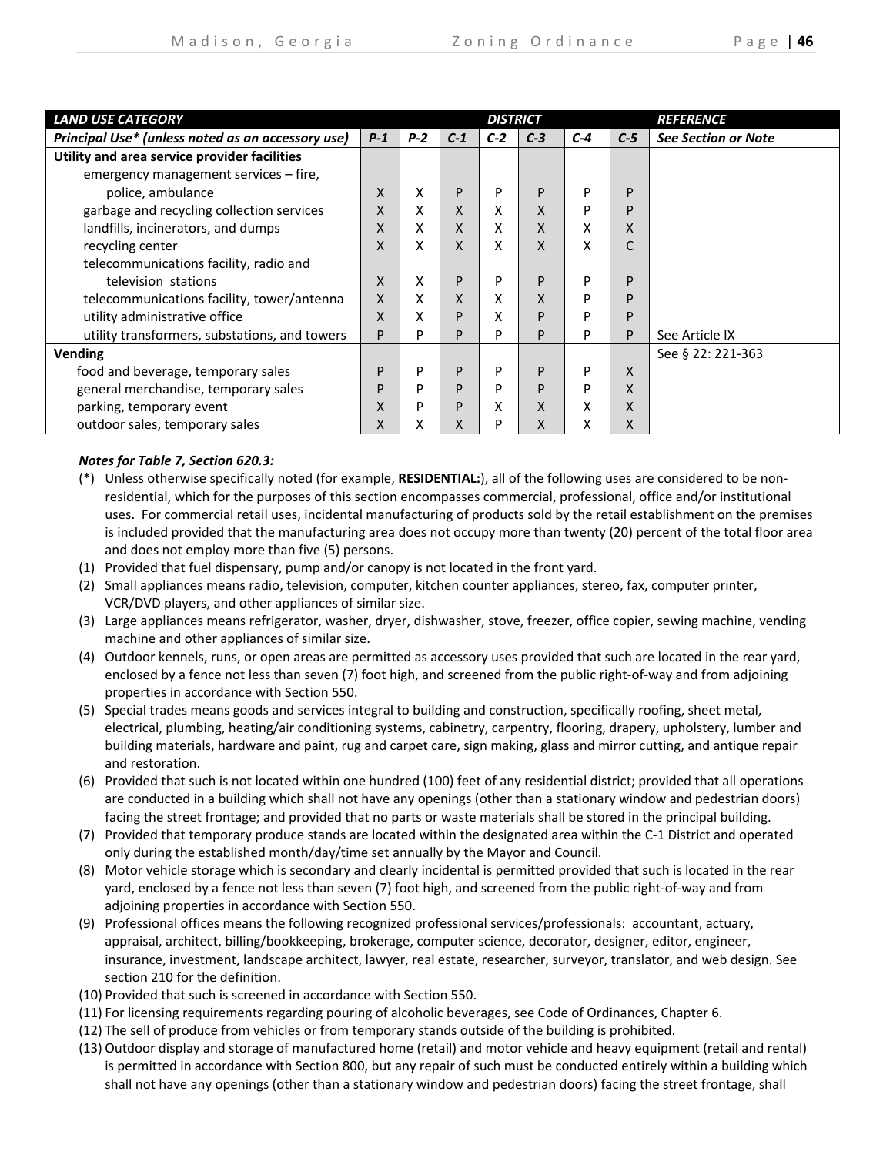| <b>LAND USE CATEGORY</b>                          |       |       |       | <b>DISTRICT</b> |       |       |       | <i><b>REFERENCE</b></i>    |
|---------------------------------------------------|-------|-------|-------|-----------------|-------|-------|-------|----------------------------|
| Principal Use* (unless noted as an accessory use) | $P-1$ | $P-2$ | $C-1$ | $C-2$           | $C-3$ | $C-4$ | $C-5$ | <b>See Section or Note</b> |
| Utility and area service provider facilities      |       |       |       |                 |       |       |       |                            |
| emergency management services – fire,             |       |       |       |                 |       |       |       |                            |
| police, ambulance                                 | X     | x     | P     | P               | P     | D     | D     |                            |
| garbage and recycling collection services         | X     | x     | X     | X               | X     | P     | D     |                            |
| landfills, incinerators, and dumps                | X     | x     | X     | X               | X     | X     | X     |                            |
| recycling center                                  | X     | x     | X     | X               | X     | x     |       |                            |
| telecommunications facility, radio and            |       |       |       |                 |       |       |       |                            |
| television stations                               | X     | x     | P     | P               | P     | D     | D     |                            |
| telecommunications facility, tower/antenna        | X     | x     | X     | X               | X     | P     | D     |                            |
| utility administrative office                     | X     | x     | P     | x               | P     | D     | D     |                            |
| utility transformers, substations, and towers     | P     | P     | P     | P               | P     | P     | P     | See Article IX             |
| Vending                                           |       |       |       |                 |       |       |       | See § 22: 221-363          |
| food and beverage, temporary sales                | P     | P     | P     | P               | P     | P     | X     |                            |
| general merchandise, temporary sales              | P     | P     | P     | P               | P     | P     | X     |                            |
| parking, temporary event                          | X     | P     | P     | x               | X     | x     | x     |                            |
| outdoor sales, temporary sales                    | X     | x     | x     | P               | X     | x     | X     |                            |

# *Notes for Table 7, Section 620.3:*

- (\*) Unless otherwise specifically noted (for example, **RESIDENTIAL:**), all of the following uses are considered to be non‐ residential, which for the purposes of this section encompasses commercial, professional, office and/or institutional uses. For commercial retail uses, incidental manufacturing of products sold by the retail establishment on the premises is included provided that the manufacturing area does not occupy more than twenty (20) percent of the total floor area and does not employ more than five (5) persons.
- (1) Provided that fuel dispensary, pump and/or canopy is not located in the front yard.
- (2) Small appliances means radio, television, computer, kitchen counter appliances, stereo, fax, computer printer, VCR/DVD players, and other appliances of similar size.
- (3) Large appliances means refrigerator, washer, dryer, dishwasher, stove, freezer, office copier, sewing machine, vending machine and other appliances of similar size.
- (4) Outdoor kennels, runs, or open areas are permitted as accessory uses provided that such are located in the rear yard, enclosed by a fence not less than seven (7) foot high, and screened from the public right-of-way and from adjoining properties in accordance with Section 550.
- (5) Special trades means goods and services integral to building and construction, specifically roofing, sheet metal, electrical, plumbing, heating/air conditioning systems, cabinetry, carpentry, flooring, drapery, upholstery, lumber and building materials, hardware and paint, rug and carpet care, sign making, glass and mirror cutting, and antique repair and restoration.
- (6) Provided that such is not located within one hundred (100) feet of any residential district; provided that all operations are conducted in a building which shall not have any openings (other than a stationary window and pedestrian doors) facing the street frontage; and provided that no parts or waste materials shall be stored in the principal building.
- (7) Provided that temporary produce stands are located within the designated area within the C‐1 District and operated only during the established month/day/time set annually by the Mayor and Council.
- (8) Motor vehicle storage which is secondary and clearly incidental is permitted provided that such is located in the rear yard, enclosed by a fence not less than seven (7) foot high, and screened from the public right‐of‐way and from adjoining properties in accordance with Section 550.
- (9) Professional offices means the following recognized professional services/professionals: accountant, actuary, appraisal, architect, billing/bookkeeping, brokerage, computer science, decorator, designer, editor, engineer, insurance, investment, landscape architect, lawyer, real estate, researcher, surveyor, translator, and web design. See section 210 for the definition.
- (10) Provided that such is screened in accordance with Section 550.
- (11) For licensing requirements regarding pouring of alcoholic beverages, see Code of Ordinances, Chapter 6.
- (12) The sell of produce from vehicles or from temporary stands outside of the building is prohibited.
- (13) Outdoor display and storage of manufactured home (retail) and motor vehicle and heavy equipment (retail and rental) is permitted in accordance with Section 800, but any repair of such must be conducted entirely within a building which shall not have any openings (other than a stationary window and pedestrian doors) facing the street frontage, shall